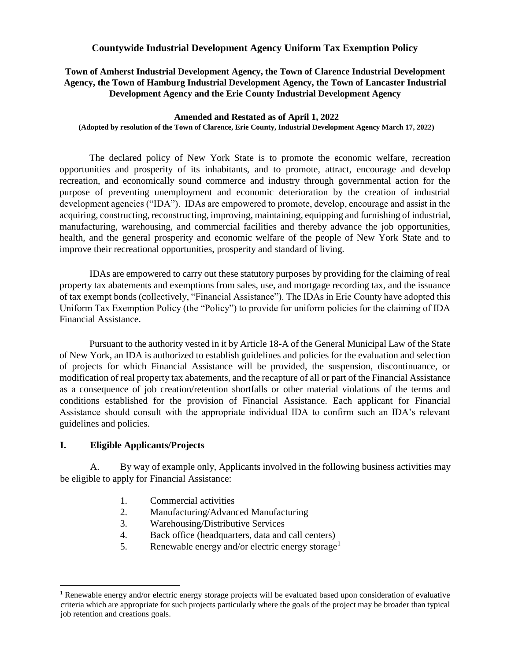### **Countywide Industrial Development Agency Uniform Tax Exemption Policy**

**Town of Amherst Industrial Development Agency, the Town of Clarence Industrial Development Agency, the Town of Hamburg Industrial Development Agency, the Town of Lancaster Industrial Development Agency and the Erie County Industrial Development Agency**

#### **Amended and Restated as of April 1, 2022 (Adopted by resolution of the Town of Clarence, Erie County, Industrial Development Agency March 17, 2022)**

The declared policy of New York State is to promote the economic welfare, recreation opportunities and prosperity of its inhabitants, and to promote, attract, encourage and develop recreation, and economically sound commerce and industry through governmental action for the purpose of preventing unemployment and economic deterioration by the creation of industrial development agencies ("IDA"). IDAs are empowered to promote, develop, encourage and assist in the acquiring, constructing, reconstructing, improving, maintaining, equipping and furnishing of industrial, manufacturing, warehousing, and commercial facilities and thereby advance the job opportunities, health, and the general prosperity and economic welfare of the people of New York State and to improve their recreational opportunities, prosperity and standard of living.

IDAs are empowered to carry out these statutory purposes by providing for the claiming of real property tax abatements and exemptions from sales, use, and mortgage recording tax, and the issuance of tax exempt bonds (collectively, "Financial Assistance"). The IDAs in Erie County have adopted this Uniform Tax Exemption Policy (the "Policy") to provide for uniform policies for the claiming of IDA Financial Assistance.

Pursuant to the authority vested in it by Article 18-A of the General Municipal Law of the State of New York, an IDA is authorized to establish guidelines and policies for the evaluation and selection of projects for which Financial Assistance will be provided, the suspension, discontinuance, or modification of real property tax abatements, and the recapture of all or part of the Financial Assistance as a consequence of job creation/retention shortfalls or other material violations of the terms and conditions established for the provision of Financial Assistance. Each applicant for Financial Assistance should consult with the appropriate individual IDA to confirm such an IDA's relevant guidelines and policies.

### **I. Eligible Applicants/Projects**

 $\overline{a}$ 

A. By way of example only, Applicants involved in the following business activities may be eligible to apply for Financial Assistance:

- 1. Commercial activities
- 2. Manufacturing/Advanced Manufacturing
- 3. Warehousing/Distributive Services
- 4. Back office (headquarters, data and call centers)
- 5. Renewable energy and/or electric energy storage<sup>1</sup>

<sup>&</sup>lt;sup>1</sup> Renewable energy and/or electric energy storage projects will be evaluated based upon consideration of evaluative criteria which are appropriate for such projects particularly where the goals of the project may be broader than typical job retention and creations goals.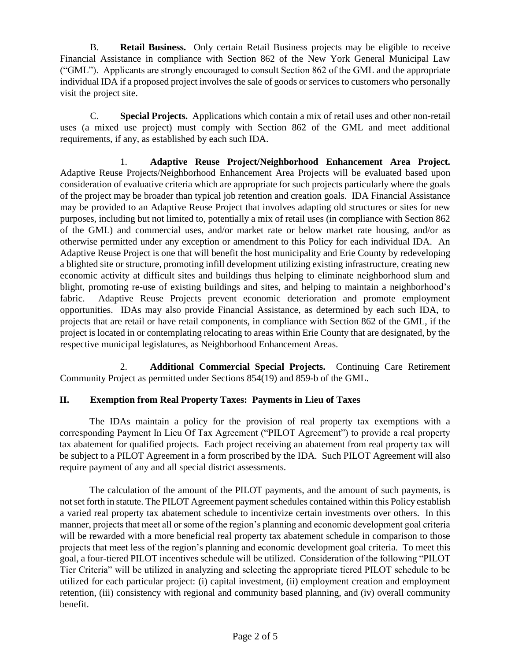B. **Retail Business.** Only certain Retail Business projects may be eligible to receive Financial Assistance in compliance with Section 862 of the New York General Municipal Law ("GML"). Applicants are strongly encouraged to consult Section 862 of the GML and the appropriate individual IDA if a proposed project involves the sale of goods or services to customers who personally visit the project site.

C. **Special Projects.** Applications which contain a mix of retail uses and other non-retail uses (a mixed use project) must comply with Section 862 of the GML and meet additional requirements, if any, as established by each such IDA.

1. **Adaptive Reuse Project/Neighborhood Enhancement Area Project.** Adaptive Reuse Projects/Neighborhood Enhancement Area Projects will be evaluated based upon consideration of evaluative criteria which are appropriate for such projects particularly where the goals of the project may be broader than typical job retention and creation goals. IDA Financial Assistance may be provided to an Adaptive Reuse Project that involves adapting old structures or sites for new purposes, including but not limited to, potentially a mix of retail uses (in compliance with Section 862 of the GML) and commercial uses, and/or market rate or below market rate housing, and/or as otherwise permitted under any exception or amendment to this Policy for each individual IDA. An Adaptive Reuse Project is one that will benefit the host municipality and Erie County by redeveloping a blighted site or structure, promoting infill development utilizing existing infrastructure, creating new economic activity at difficult sites and buildings thus helping to eliminate neighborhood slum and blight, promoting re-use of existing buildings and sites, and helping to maintain a neighborhood's fabric. Adaptive Reuse Projects prevent economic deterioration and promote employment opportunities. IDAs may also provide Financial Assistance, as determined by each such IDA, to projects that are retail or have retail components, in compliance with Section 862 of the GML, if the project is located in or contemplating relocating to areas within Erie County that are designated, by the respective municipal legislatures, as Neighborhood Enhancement Areas.

2. **Additional Commercial Special Projects.** Continuing Care Retirement Community Project as permitted under Sections 854(19) and 859-b of the GML.

# **II. Exemption from Real Property Taxes: Payments in Lieu of Taxes**

The IDAs maintain a policy for the provision of real property tax exemptions with a corresponding Payment In Lieu Of Tax Agreement ("PILOT Agreement") to provide a real property tax abatement for qualified projects. Each project receiving an abatement from real property tax will be subject to a PILOT Agreement in a form proscribed by the IDA. Such PILOT Agreement will also require payment of any and all special district assessments.

The calculation of the amount of the PILOT payments, and the amount of such payments, is not set forth in statute. The PILOT Agreement payment schedules contained within this Policy establish a varied real property tax abatement schedule to incentivize certain investments over others. In this manner, projects that meet all or some of the region's planning and economic development goal criteria will be rewarded with a more beneficial real property tax abatement schedule in comparison to those projects that meet less of the region's planning and economic development goal criteria. To meet this goal, a four-tiered PILOT incentives schedule will be utilized. Consideration of the following "PILOT Tier Criteria" will be utilized in analyzing and selecting the appropriate tiered PILOT schedule to be utilized for each particular project: (i) capital investment, (ii) employment creation and employment retention, (iii) consistency with regional and community based planning, and (iv) overall community benefit.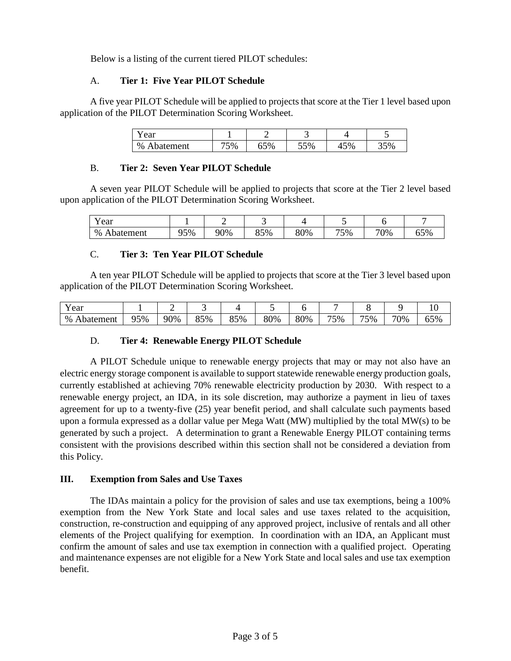Below is a listing of the current tiered PILOT schedules:

## A. **Tier 1: Five Year PILOT Schedule**

A five year PILOT Schedule will be applied to projects that score at the Tier 1 level based upon application of the PILOT Determination Scoring Worksheet.

| rear (                       |    |     | -   |          |           |  |
|------------------------------|----|-----|-----|----------|-----------|--|
| $\%$<br><b>batement</b><br>А | 5% | 65% | 55% | 5%<br>т. | 50/<br>ັບ |  |

## B. **Tier 2: Seven Year PILOT Schedule**

A seven year PILOT Schedule will be applied to projects that score at the Tier 2 level based upon application of the PILOT Determination Scoring Worksheet.

| ear            |     |     | -   |     |     |     |            |
|----------------|-----|-----|-----|-----|-----|-----|------------|
| %<br>Abatement | 95% | 90% | 85% | 80% | 75% | 70% | 65%<br>UJ. |

## C. **Tier 3: Ten Year PILOT Schedule**

A ten year PILOT Schedule will be applied to projects that score at the Tier 3 level based upon application of the PILOT Determination Scoring Worksheet.

| $ -$<br>ear                    |     |     |           |           |     |     |     |     |     | ◡                           |
|--------------------------------|-----|-----|-----------|-----------|-----|-----|-----|-----|-----|-----------------------------|
| %<br>batement<br>$\rightarrow$ | 95% | 90% | 35%<br>הם | 85%<br>ບບ | 80% | 80% | 75% | 75% | 70% | $\sim$ $\sim$ $\sim$<br>63% |

# D. **Tier 4: Renewable Energy PILOT Schedule**

A PILOT Schedule unique to renewable energy projects that may or may not also have an electric energy storage component is available to support statewide renewable energy production goals, currently established at achieving 70% renewable electricity production by 2030. With respect to a renewable energy project, an IDA, in its sole discretion, may authorize a payment in lieu of taxes agreement for up to a twenty-five (25) year benefit period, and shall calculate such payments based upon a formula expressed as a dollar value per Mega Watt (MW) multiplied by the total MW(s) to be generated by such a project. A determination to grant a Renewable Energy PILOT containing terms consistent with the provisions described within this section shall not be considered a deviation from this Policy.

### **III. Exemption from Sales and Use Taxes**

The IDAs maintain a policy for the provision of sales and use tax exemptions, being a 100% exemption from the New York State and local sales and use taxes related to the acquisition, construction, re-construction and equipping of any approved project, inclusive of rentals and all other elements of the Project qualifying for exemption. In coordination with an IDA, an Applicant must confirm the amount of sales and use tax exemption in connection with a qualified project. Operating and maintenance expenses are not eligible for a New York State and local sales and use tax exemption benefit.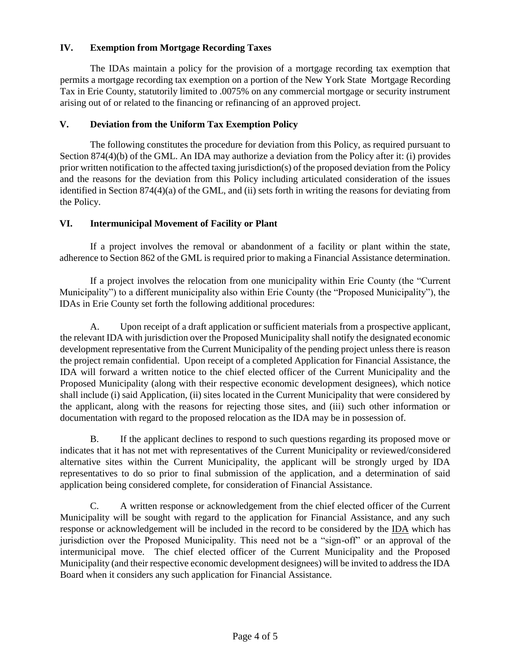## **IV. Exemption from Mortgage Recording Taxes**

The IDAs maintain a policy for the provision of a mortgage recording tax exemption that permits a mortgage recording tax exemption on a portion of the New York State Mortgage Recording Tax in Erie County, statutorily limited to .0075% on any commercial mortgage or security instrument arising out of or related to the financing or refinancing of an approved project.

### **V. Deviation from the Uniform Tax Exemption Policy**

The following constitutes the procedure for deviation from this Policy, as required pursuant to Section 874(4)(b) of the GML. An IDA may authorize a deviation from the Policy after it: (i) provides prior written notification to the affected taxing jurisdiction(s) of the proposed deviation from the Policy and the reasons for the deviation from this Policy including articulated consideration of the issues identified in Section 874(4)(a) of the GML, and (ii) sets forth in writing the reasons for deviating from the Policy.

## **VI. Intermunicipal Movement of Facility or Plant**

If a project involves the removal or abandonment of a facility or plant within the state, adherence to Section 862 of the GML is required prior to making a Financial Assistance determination.

If a project involves the relocation from one municipality within Erie County (the "Current Municipality") to a different municipality also within Erie County (the "Proposed Municipality"), the IDAs in Erie County set forth the following additional procedures:

A. Upon receipt of a draft application or sufficient materials from a prospective applicant, the relevant IDA with jurisdiction over the Proposed Municipality shall notify the designated economic development representative from the Current Municipality of the pending project unless there is reason the project remain confidential. Upon receipt of a completed Application for Financial Assistance, the IDA will forward a written notice to the chief elected officer of the Current Municipality and the Proposed Municipality (along with their respective economic development designees), which notice shall include (i) said Application, (ii) sites located in the Current Municipality that were considered by the applicant, along with the reasons for rejecting those sites, and (iii) such other information or documentation with regard to the proposed relocation as the IDA may be in possession of.

B. If the applicant declines to respond to such questions regarding its proposed move or indicates that it has not met with representatives of the Current Municipality or reviewed/considered alternative sites within the Current Municipality, the applicant will be strongly urged by IDA representatives to do so prior to final submission of the application, and a determination of said application being considered complete, for consideration of Financial Assistance.

C. A written response or acknowledgement from the chief elected officer of the Current Municipality will be sought with regard to the application for Financial Assistance, and any such response or acknowledgement will be included in the record to be considered by the IDA which has jurisdiction over the Proposed Municipality. This need not be a "sign-off" or an approval of the intermunicipal move. The chief elected officer of the Current Municipality and the Proposed Municipality (and their respective economic development designees) will be invited to address the IDA Board when it considers any such application for Financial Assistance.